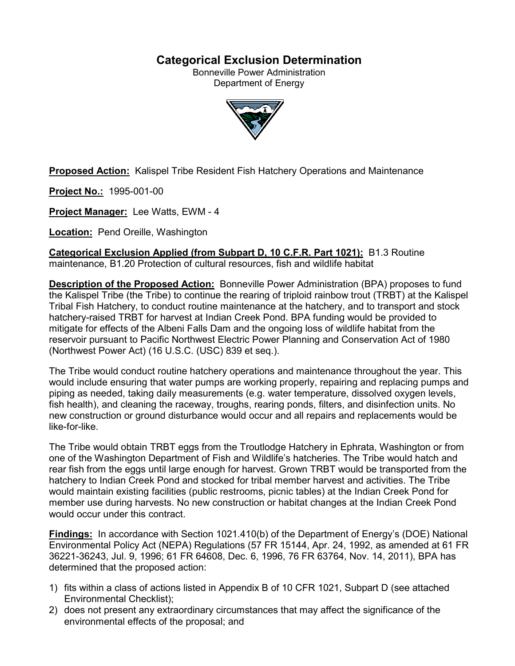# **Categorical Exclusion Determination**

Bonneville Power Administration Department of Energy



**Proposed Action:** Kalispel Tribe Resident Fish Hatchery Operations and Maintenance

**Project No.:** 1995-001-00

**Project Manager:** Lee Watts, EWM - 4

**Location:** Pend Oreille, Washington

**Categorical Exclusion Applied (from Subpart D, 10 C.F.R. Part 1021):** B1.3 Routine maintenance, B1.20 Protection of cultural resources, fish and wildlife habitat

**Description of the Proposed Action:** Bonneville Power Administration (BPA) proposes to fund the Kalispel Tribe (the Tribe) to continue the rearing of triploid rainbow trout (TRBT) at the Kalispel Tribal Fish Hatchery, to conduct routine maintenance at the hatchery, and to transport and stock hatchery-raised TRBT for harvest at Indian Creek Pond. BPA funding would be provided to mitigate for effects of the Albeni Falls Dam and the ongoing loss of wildlife habitat from the reservoir pursuant to Pacific Northwest Electric Power Planning and Conservation Act of 1980 (Northwest Power Act) (16 U.S.C. (USC) 839 et seq.).

The Tribe would conduct routine hatchery operations and maintenance throughout the year. This would include ensuring that water pumps are working properly, repairing and replacing pumps and piping as needed, taking daily measurements (e.g. water temperature, dissolved oxygen levels, fish health), and cleaning the raceway, troughs, rearing ponds, filters, and disinfection units. No new construction or ground disturbance would occur and all repairs and replacements would be like-for-like.

The Tribe would obtain TRBT eggs from the Troutlodge Hatchery in Ephrata, Washington or from one of the Washington Department of Fish and Wildlife's hatcheries. The Tribe would hatch and rear fish from the eggs until large enough for harvest. Grown TRBT would be transported from the hatchery to Indian Creek Pond and stocked for tribal member harvest and activities. The Tribe would maintain existing facilities (public restrooms, picnic tables) at the Indian Creek Pond for member use during harvests. No new construction or habitat changes at the Indian Creek Pond would occur under this contract.

**Findings:** In accordance with Section 1021.410(b) of the Department of Energy's (DOE) National Environmental Policy Act (NEPA) Regulations (57 FR 15144, Apr. 24, 1992, as amended at 61 FR 36221-36243, Jul. 9, 1996; 61 FR 64608, Dec. 6, 1996, 76 FR 63764, Nov. 14, 2011), BPA has determined that the proposed action:

- 1) fits within a class of actions listed in Appendix B of 10 CFR 1021, Subpart D (see attached Environmental Checklist);
- 2) does not present any extraordinary circumstances that may affect the significance of the environmental effects of the proposal; and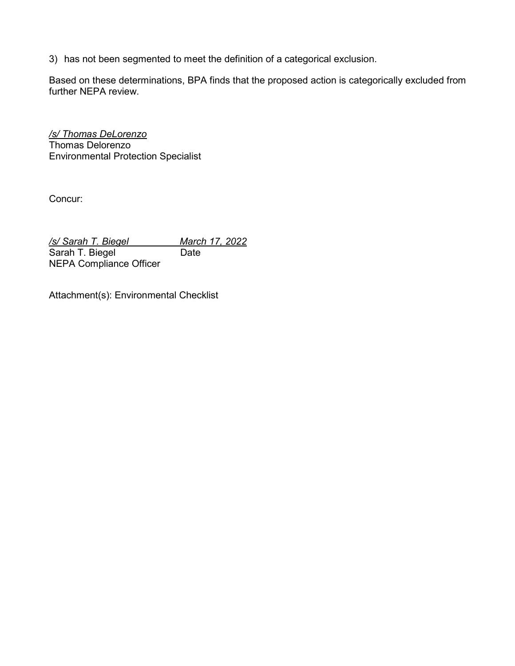3) has not been segmented to meet the definition of a categorical exclusion.

Based on these determinations, BPA finds that the proposed action is categorically excluded from further NEPA review.

*/s/ Thomas DeLorenzo* Thomas Delorenzo Environmental Protection Specialist

Concur:

*/s/ Sarah T. Biegel March 17, 2022* Sarah T. Biegel Date NEPA Compliance Officer

Attachment(s): Environmental Checklist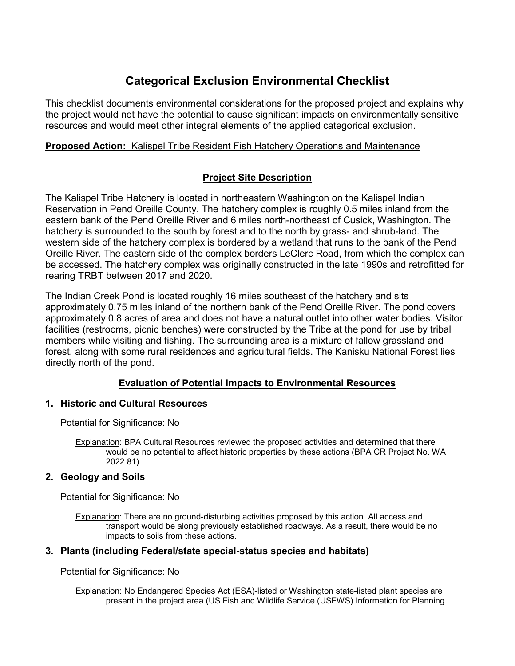# **Categorical Exclusion Environmental Checklist**

This checklist documents environmental considerations for the proposed project and explains why the project would not have the potential to cause significant impacts on environmentally sensitive resources and would meet other integral elements of the applied categorical exclusion.

## **Proposed Action:** Kalispel Tribe Resident Fish Hatchery Operations and Maintenance

# **Project Site Description**

The Kalispel Tribe Hatchery is located in northeastern Washington on the Kalispel Indian Reservation in Pend Oreille County. The hatchery complex is roughly 0.5 miles inland from the eastern bank of the Pend Oreille River and 6 miles north-northeast of Cusick, Washington. The hatchery is surrounded to the south by forest and to the north by grass- and shrub-land. The western side of the hatchery complex is bordered by a wetland that runs to the bank of the Pend Oreille River. The eastern side of the complex borders LeClerc Road, from which the complex can be accessed. The hatchery complex was originally constructed in the late 1990s and retrofitted for rearing TRBT between 2017 and 2020.

The Indian Creek Pond is located roughly 16 miles southeast of the hatchery and sits approximately 0.75 miles inland of the northern bank of the Pend Oreille River. The pond covers approximately 0.8 acres of area and does not have a natural outlet into other water bodies. Visitor facilities (restrooms, picnic benches) were constructed by the Tribe at the pond for use by tribal members while visiting and fishing. The surrounding area is a mixture of fallow grassland and forest, along with some rural residences and agricultural fields. The Kanisku National Forest lies directly north of the pond.

# **Evaluation of Potential Impacts to Environmental Resources**

# **1. Historic and Cultural Resources**

Potential for Significance: No

Explanation: BPA Cultural Resources reviewed the proposed activities and determined that there would be no potential to affect historic properties by these actions (BPA CR Project No. WA 2022 81).

# **2. Geology and Soils**

Potential for Significance: No

Explanation: There are no ground-disturbing activities proposed by this action. All access and transport would be along previously established roadways. As a result, there would be no impacts to soils from these actions.

## **3. Plants (including Federal/state special-status species and habitats)**

Potential for Significance: No

Explanation: No Endangered Species Act (ESA)-listed or Washington state-listed plant species are present in the project area (US Fish and Wildlife Service (USFWS) Information for Planning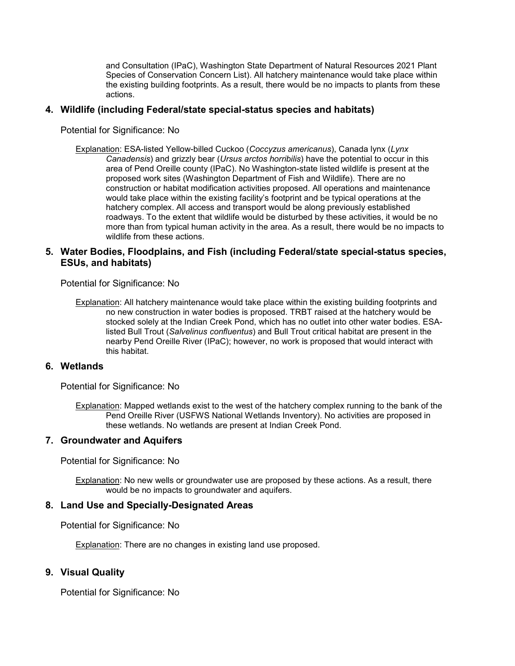and Consultation (IPaC), Washington State Department of Natural Resources 2021 Plant Species of Conservation Concern List). All hatchery maintenance would take place within the existing building footprints. As a result, there would be no impacts to plants from these actions.

#### **4. Wildlife (including Federal/state special-status species and habitats)**

Potential for Significance: No

Explanation: ESA-listed Yellow-billed Cuckoo (*Coccyzus americanus*), Canada lynx (*Lynx Canadensis*) and grizzly bear (*Ursus arctos horribilis*) have the potential to occur in this area of Pend Oreille county (IPaC). No Washington-state listed wildlife is present at the proposed work sites (Washington Department of Fish and Wildlife). There are no construction or habitat modification activities proposed. All operations and maintenance would take place within the existing facility's footprint and be typical operations at the hatchery complex. All access and transport would be along previously established roadways. To the extent that wildlife would be disturbed by these activities, it would be no more than from typical human activity in the area. As a result, there would be no impacts to wildlife from these actions.

#### **5. Water Bodies, Floodplains, and Fish (including Federal/state special-status species, ESUs, and habitats)**

Potential for Significance: No

Explanation: All hatchery maintenance would take place within the existing building footprints and no new construction in water bodies is proposed. TRBT raised at the hatchery would be stocked solely at the Indian Creek Pond, which has no outlet into other water bodies. ESAlisted Bull Trout (*Salvelinus confluentus*) and Bull Trout critical habitat are present in the nearby Pend Oreille River (IPaC); however, no work is proposed that would interact with this habitat.

## **6. Wetlands**

Potential for Significance: No

Explanation: Mapped wetlands exist to the west of the hatchery complex running to the bank of the Pend Oreille River (USFWS National Wetlands Inventory). No activities are proposed in these wetlands. No wetlands are present at Indian Creek Pond.

#### **7. Groundwater and Aquifers**

Potential for Significance: No

Explanation: No new wells or groundwater use are proposed by these actions. As a result, there would be no impacts to groundwater and aquifers.

#### **8. Land Use and Specially-Designated Areas**

Potential for Significance: No

**Explanation: There are no changes in existing land use proposed.** 

#### **9. Visual Quality**

Potential for Significance: No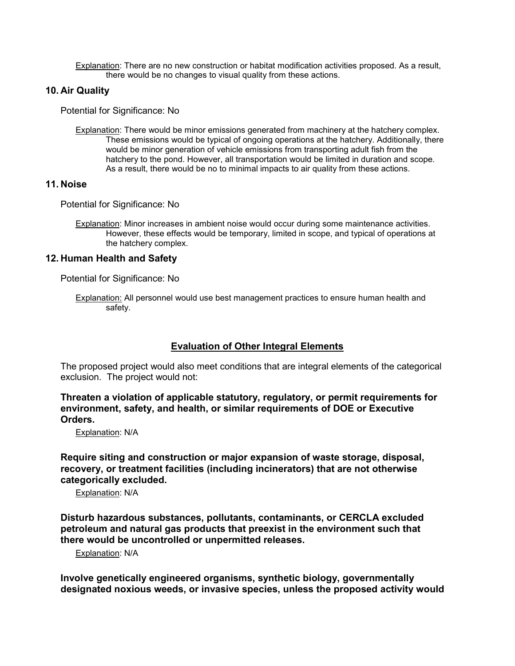Explanation: There are no new construction or habitat modification activities proposed. As a result, there would be no changes to visual quality from these actions.

### **10. Air Quality**

Potential for Significance: No

Explanation: There would be minor emissions generated from machinery at the hatchery complex. These emissions would be typical of ongoing operations at the hatchery. Additionally, there would be minor generation of vehicle emissions from transporting adult fish from the hatchery to the pond. However, all transportation would be limited in duration and scope. As a result, there would be no to minimal impacts to air quality from these actions.

#### **11. Noise**

Potential for Significance: No

Explanation: Minor increases in ambient noise would occur during some maintenance activities. However, these effects would be temporary, limited in scope, and typical of operations at the hatchery complex.

#### **12. Human Health and Safety**

Potential for Significance: No

Explanation: All personnel would use best management practices to ensure human health and safety.

## **Evaluation of Other Integral Elements**

The proposed project would also meet conditions that are integral elements of the categorical exclusion. The project would not:

**Threaten a violation of applicable statutory, regulatory, or permit requirements for environment, safety, and health, or similar requirements of DOE or Executive Orders.**

Explanation: N/A

**Require siting and construction or major expansion of waste storage, disposal, recovery, or treatment facilities (including incinerators) that are not otherwise categorically excluded.**

Explanation: N/A

**Disturb hazardous substances, pollutants, contaminants, or CERCLA excluded petroleum and natural gas products that preexist in the environment such that there would be uncontrolled or unpermitted releases.**

Explanation: N/A

**Involve genetically engineered organisms, synthetic biology, governmentally designated noxious weeds, or invasive species, unless the proposed activity would**